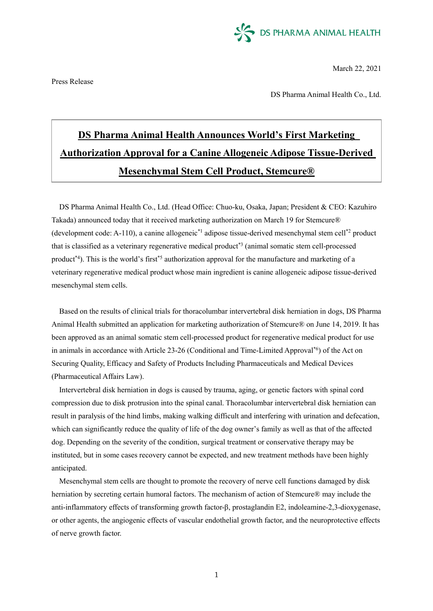

March 22, 2021

Press Release

DS Pharma Animal Health Co., Ltd.

# **DS Pharma Animal Health Announces World's First Marketing Authorization Approval for a Canine Allogeneic Adipose Tissue-Derived Mesenchymal Stem Cell Product, Stemcure®**

DS Pharma Animal Health Co., Ltd. (Head Office: Chuo-ku, Osaka, Japan; President & CEO: Kazuhiro Takada) announced today that it received marketing authorization on March 19 for Stemcure® (development code: A-110), a canine allogeneic\*1 adipose tissue-derived mesenchymal stem cell\*2 product that is classified as a veterinary regenerative medical product\*3 (animal somatic stem cell-processed product<sup>\*4</sup>). This is the world's first<sup>\*5</sup> authorization approval for the manufacture and marketing of a veterinary regenerative medical product whose main ingredient is canine allogeneic adipose tissue-derived mesenchymal stem cells.

Based on the results of clinical trials for thoracolumbar intervertebral disk herniation in dogs, DS Pharma Animal Health submitted an application for marketing authorization of Stemcure® on June 14, 2019. It has been approved as an animal somatic stem cell-processed product for regenerative medical product for use in animals in accordance with Article 23-26 (Conditional and Time-Limited Approval\*6) of the Act on Securing Quality, Efficacy and Safety of Products Including Pharmaceuticals and Medical Devices (Pharmaceutical Affairs Law).

Intervertebral disk herniation in dogs is caused by trauma, aging, or genetic factors with spinal cord compression due to disk protrusion into the spinal canal. Thoracolumbar intervertebral disk herniation can result in paralysis of the hind limbs, making walking difficult and interfering with urination and defecation, which can significantly reduce the quality of life of the dog owner's family as well as that of the affected dog. Depending on the severity of the condition, surgical treatment or conservative therapy may be instituted, but in some cases recovery cannot be expected, and new treatment methods have been highly anticipated.

Mesenchymal stem cells are thought to promote the recovery of nerve cell functions damaged by disk herniation by secreting certain humoral factors. The mechanism of action of Stemcure® may include the anti-inflammatory effects of transforming growth factor-β, prostaglandin E2, indoleamine-2,3-dioxygenase, or other agents, the angiogenic effects of vascular endothelial growth factor, and the neuroprotective effects of nerve growth factor.

1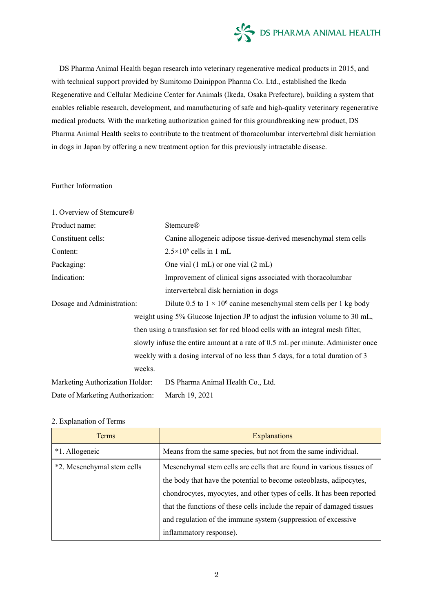

DS Pharma Animal Health began research into veterinary regenerative medical products in 2015, and with technical support provided by Sumitomo Dainippon Pharma Co. Ltd., established the Ikeda Regenerative and Cellular Medicine Center for Animals (Ikeda, Osaka Prefecture), building a system that enables reliable research, development, and manufacturing of safe and high-quality veterinary regenerative medical products. With the marketing authorization gained for this groundbreaking new product, DS Pharma Animal Health seeks to contribute to the treatment of thoracolumbar intervertebral disk herniation in dogs in Japan by offering a new treatment option for this previously intractable disease.

#### Further Information

| 1. Overview of Stemcure®                                                        |                                                                              |
|---------------------------------------------------------------------------------|------------------------------------------------------------------------------|
| Product name:                                                                   | <b>Stemcure®</b>                                                             |
| Constituent cells:                                                              | Canine allogeneic adipose tissue-derived mesenchymal stem cells              |
| Content:                                                                        | $2.5 \times 10^6$ cells in 1 mL                                              |
| Packaging:                                                                      | One vial $(1 \text{ mL})$ or one vial $(2 \text{ mL})$                       |
| Indication:                                                                     | Improvement of clinical signs associated with thoracolumbar                  |
|                                                                                 | intervertebral disk herniation in dogs                                       |
| Dosage and Administration:                                                      | Dilute 0.5 to $1 \times 10^6$ canine mesenchymal stem cells per 1 kg body    |
|                                                                                 | weight using 5% Glucose Injection JP to adjust the infusion volume to 30 mL, |
| then using a transfusion set for red blood cells with an integral mesh filter,  |                                                                              |
| slowly infuse the entire amount at a rate of 0.5 mL per minute. Administer once |                                                                              |
| weekly with a dosing interval of no less than 5 days, for a total duration of 3 |                                                                              |
| weeks.                                                                          |                                                                              |
| Marketing Authorization Holder:                                                 | DS Pharma Animal Health Co., Ltd.                                            |
| Date of Marketing Authorization:                                                | March 19, 2021                                                               |

#### 2. Explanation of Terms

| <b>Terms</b>               | <b>Explanations</b>                                                     |
|----------------------------|-------------------------------------------------------------------------|
| *1. Allogeneic             | Means from the same species, but not from the same individual.          |
| *2. Mesenchymal stem cells | Mesenchymal stem cells are cells that are found in various tissues of   |
|                            | the body that have the potential to become osteoblasts, adipocytes,     |
|                            | chondrocytes, myocytes, and other types of cells. It has been reported  |
|                            | that the functions of these cells include the repair of damaged tissues |
|                            | and regulation of the immune system (suppression of excessive           |
|                            | inflammatory response).                                                 |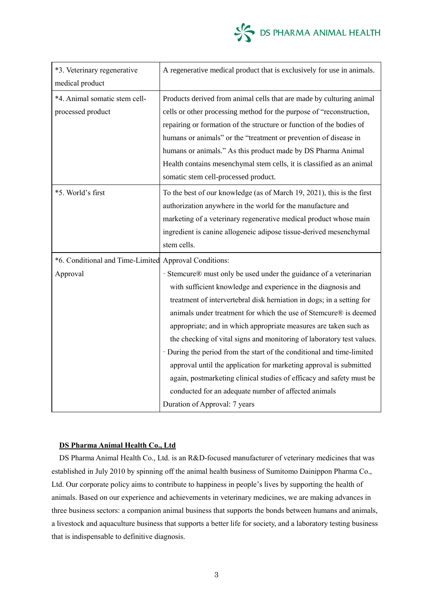

| *3. Veterinary regenerative<br>medical product                    | A regenerative medical product that is exclusively for use in animals.                                                                                                                                                                                                                                                                                                                                                                                                                                                                                                                                                                                                                                                                       |
|-------------------------------------------------------------------|----------------------------------------------------------------------------------------------------------------------------------------------------------------------------------------------------------------------------------------------------------------------------------------------------------------------------------------------------------------------------------------------------------------------------------------------------------------------------------------------------------------------------------------------------------------------------------------------------------------------------------------------------------------------------------------------------------------------------------------------|
| *4. Animal somatic stem cell-<br>processed product                | Products derived from animal cells that are made by culturing animal<br>cells or other processing method for the purpose of "reconstruction,<br>repairing or formation of the structure or function of the bodies of<br>humans or animals" or the "treatment or prevention of disease in<br>humans or animals." As this product made by DS Pharma Animal<br>Health contains mesenchymal stem cells, it is classified as an animal<br>somatic stem cell-processed product.                                                                                                                                                                                                                                                                    |
| *5. World's first                                                 | To the best of our knowledge (as of March 19, 2021), this is the first<br>authorization anywhere in the world for the manufacture and<br>marketing of a veterinary regenerative medical product whose main<br>ingredient is canine allogeneic adipose tissue-derived mesenchymal<br>stem cells.                                                                                                                                                                                                                                                                                                                                                                                                                                              |
| *6. Conditional and Time-Limited Approval Conditions:<br>Approval | Stemcure® must only be used under the guidance of a veterinarian<br>with sufficient knowledge and experience in the diagnosis and<br>treatment of intervertebral disk herniation in dogs; in a setting for<br>animals under treatment for which the use of Stemcure® is deemed<br>appropriate; and in which appropriate measures are taken such as<br>the checking of vital signs and monitoring of laboratory test values.<br>· During the period from the start of the conditional and time-limited<br>approval until the application for marketing approval is submitted<br>again, postmarketing clinical studies of efficacy and safety must be<br>conducted for an adequate number of affected animals<br>Duration of Approval: 7 years |

## **DS Pharma Animal Health Co., Ltd**

DS Pharma Animal Health Co., Ltd. is an R&D-focused manufacturer of veterinary medicines that was established in July 2010 by spinning off the animal health business of Sumitomo Dainippon Pharma Co., Ltd. Our corporate policy aims to contribute to happiness in people's lives by supporting the health of animals. Based on our experience and achievements in veterinary medicines, we are making advances in three business sectors: a companion animal business that supports the bonds between humans and animals, a livestock and aquaculture business that supports a better life for society, and a laboratory testing business that is indispensable to definitive diagnosis.